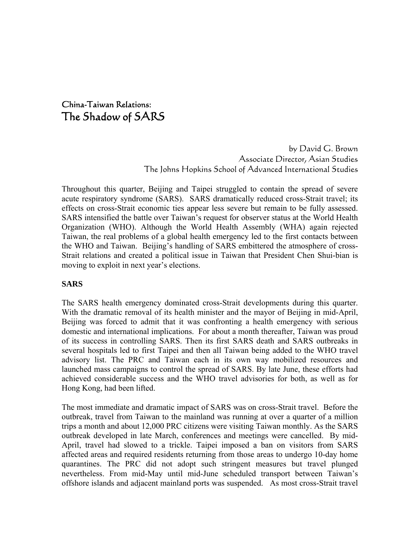# China-Taiwan Relations: The Shadow of SARS

by David G. Brown Associate Director, Asian Studies The Johns Hopkins School of Advanced International Studies

Throughout this quarter, Beijing and Taipei struggled to contain the spread of severe acute respiratory syndrome (SARS). SARS dramatically reduced cross-Strait travel; its effects on cross-Strait economic ties appear less severe but remain to be fully assessed. SARS intensified the battle over Taiwan's request for observer status at the World Health Organization (WHO). Although the World Health Assembly (WHA) again rejected Taiwan, the real problems of a global health emergency led to the first contacts between the WHO and Taiwan. Beijing's handling of SARS embittered the atmosphere of cross-Strait relations and created a political issue in Taiwan that President Chen Shui-bian is moving to exploit in next year's elections.

## **SARS**

The SARS health emergency dominated cross-Strait developments during this quarter. With the dramatic removal of its health minister and the mayor of Beijing in mid-April, Beijing was forced to admit that it was confronting a health emergency with serious domestic and international implications. For about a month thereafter, Taiwan was proud of its success in controlling SARS. Then its first SARS death and SARS outbreaks in several hospitals led to first Taipei and then all Taiwan being added to the WHO travel advisory list. The PRC and Taiwan each in its own way mobilized resources and launched mass campaigns to control the spread of SARS. By late June, these efforts had achieved considerable success and the WHO travel advisories for both, as well as for Hong Kong, had been lifted.

The most immediate and dramatic impact of SARS was on cross-Strait travel. Before the outbreak, travel from Taiwan to the mainland was running at over a quarter of a million trips a month and about 12,000 PRC citizens were visiting Taiwan monthly. As the SARS outbreak developed in late March, conferences and meetings were cancelled. By mid-April, travel had slowed to a trickle. Taipei imposed a ban on visitors from SARS affected areas and required residents returning from those areas to undergo 10-day home quarantines. The PRC did not adopt such stringent measures but travel plunged nevertheless. From mid-May until mid-June scheduled transport between Taiwan's offshore islands and adjacent mainland ports was suspended. As most cross-Strait travel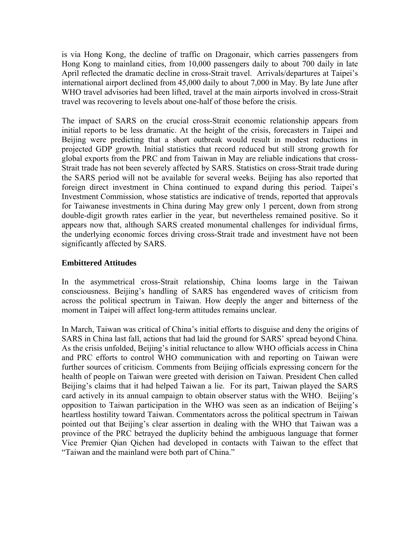is via Hong Kong, the decline of traffic on Dragonair, which carries passengers from Hong Kong to mainland cities, from 10,000 passengers daily to about 700 daily in late April reflected the dramatic decline in cross-Strait travel. Arrivals/departures at Taipei's international airport declined from 45,000 daily to about 7,000 in May. By late June after WHO travel advisories had been lifted, travel at the main airports involved in cross-Strait travel was recovering to levels about one-half of those before the crisis.

The impact of SARS on the crucial cross-Strait economic relationship appears from initial reports to be less dramatic. At the height of the crisis, forecasters in Taipei and Beijing were predicting that a short outbreak would result in modest reductions in projected GDP growth. Initial statistics that record reduced but still strong growth for global exports from the PRC and from Taiwan in May are reliable indications that cross-Strait trade has not been severely affected by SARS. Statistics on cross-Strait trade during the SARS period will not be available for several weeks. Beijing has also reported that foreign direct investment in China continued to expand during this period. Taipei's Investment Commission, whose statistics are indicative of trends, reported that approvals for Taiwanese investments in China during May grew only 1 percent, down from strong double-digit growth rates earlier in the year, but nevertheless remained positive. So it appears now that, although SARS created monumental challenges for individual firms, the underlying economic forces driving cross-Strait trade and investment have not been significantly affected by SARS.

## **Embittered Attitudes**

In the asymmetrical cross-Strait relationship, China looms large in the Taiwan consciousness. Beijing's handling of SARS has engendered waves of criticism from across the political spectrum in Taiwan. How deeply the anger and bitterness of the moment in Taipei will affect long-term attitudes remains unclear.

In March, Taiwan was critical of China's initial efforts to disguise and deny the origins of SARS in China last fall, actions that had laid the ground for SARS' spread beyond China. As the crisis unfolded, Beijing's initial reluctance to allow WHO officials access in China and PRC efforts to control WHO communication with and reporting on Taiwan were further sources of criticism. Comments from Beijing officials expressing concern for the health of people on Taiwan were greeted with derision on Taiwan. President Chen called Beijing's claims that it had helped Taiwan a lie. For its part, Taiwan played the SARS card actively in its annual campaign to obtain observer status with the WHO. Beijing's opposition to Taiwan participation in the WHO was seen as an indication of Beijing's heartless hostility toward Taiwan. Commentators across the political spectrum in Taiwan pointed out that Beijing's clear assertion in dealing with the WHO that Taiwan was a province of the PRC betrayed the duplicity behind the ambiguous language that former Vice Premier Qian Qichen had developed in contacts with Taiwan to the effect that "Taiwan and the mainland were both part of China."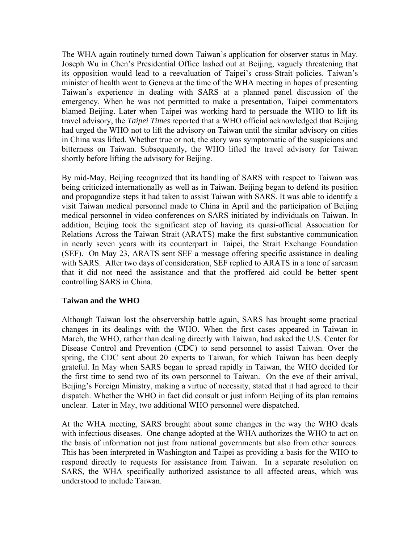The WHA again routinely turned down Taiwan's application for observer status in May. Joseph Wu in Chen's Presidential Office lashed out at Beijing, vaguely threatening that its opposition would lead to a reevaluation of Taipei's cross-Strait policies. Taiwan's minister of health went to Geneva at the time of the WHA meeting in hopes of presenting Taiwan's experience in dealing with SARS at a planned panel discussion of the emergency. When he was not permitted to make a presentation, Taipei commentators blamed Beijing. Later when Taipei was working hard to persuade the WHO to lift its travel advisory, the *Taipei Times* reported that a WHO official acknowledged that Beijing had urged the WHO not to lift the advisory on Taiwan until the similar advisory on cities in China was lifted. Whether true or not, the story was symptomatic of the suspicions and bitterness on Taiwan. Subsequently, the WHO lifted the travel advisory for Taiwan shortly before lifting the advisory for Beijing.

By mid-May, Beijing recognized that its handling of SARS with respect to Taiwan was being criticized internationally as well as in Taiwan. Beijing began to defend its position and propagandize steps it had taken to assist Taiwan with SARS. It was able to identify a visit Taiwan medical personnel made to China in April and the participation of Beijing medical personnel in video conferences on SARS initiated by individuals on Taiwan. In addition, Beijing took the significant step of having its quasi-official Association for Relations Across the Taiwan Strait (ARATS) make the first substantive communication in nearly seven years with its counterpart in Taipei, the Strait Exchange Foundation (SEF). On May 23, ARATS sent SEF a message offering specific assistance in dealing with SARS. After two days of consideration, SEF replied to ARATS in a tone of sarcasm that it did not need the assistance and that the proffered aid could be better spent controlling SARS in China.

#### **Taiwan and the WHO**

Although Taiwan lost the observership battle again, SARS has brought some practical changes in its dealings with the WHO. When the first cases appeared in Taiwan in March, the WHO, rather than dealing directly with Taiwan, had asked the U.S. Center for Disease Control and Prevention (CDC) to send personnel to assist Taiwan. Over the spring, the CDC sent about 20 experts to Taiwan, for which Taiwan has been deeply grateful. In May when SARS began to spread rapidly in Taiwan, the WHO decided for the first time to send two of its own personnel to Taiwan. On the eve of their arrival, Beijing's Foreign Ministry, making a virtue of necessity, stated that it had agreed to their dispatch. Whether the WHO in fact did consult or just inform Beijing of its plan remains unclear. Later in May, two additional WHO personnel were dispatched.

At the WHA meeting, SARS brought about some changes in the way the WHO deals with infectious diseases. One change adopted at the WHA authorizes the WHO to act on the basis of information not just from national governments but also from other sources. This has been interpreted in Washington and Taipei as providing a basis for the WHO to respond directly to requests for assistance from Taiwan. In a separate resolution on SARS, the WHA specifically authorized assistance to all affected areas, which was understood to include Taiwan.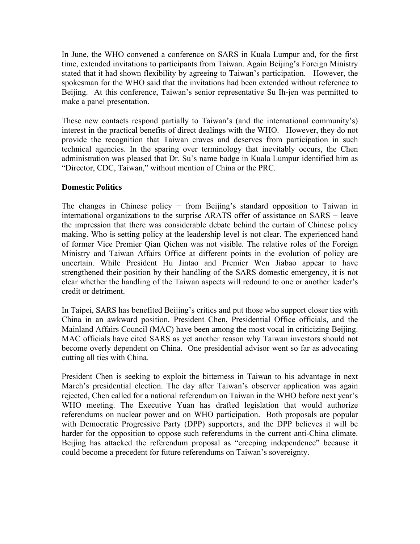In June, the WHO convened a conference on SARS in Kuala Lumpur and, for the first time, extended invitations to participants from Taiwan. Again Beijing's Foreign Ministry stated that it had shown flexibility by agreeing to Taiwan's participation. However, the spokesman for the WHO said that the invitations had been extended without reference to Beijing. At this conference, Taiwan's senior representative Su Ih-jen was permitted to make a panel presentation.

These new contacts respond partially to Taiwan's (and the international community's) interest in the practical benefits of direct dealings with the WHO. However, they do not provide the recognition that Taiwan craves and deserves from participation in such technical agencies. In the sparing over terminology that inevitably occurs, the Chen administration was pleased that Dr. Su's name badge in Kuala Lumpur identified him as "Director, CDC, Taiwan," without mention of China or the PRC.

## **Domestic Politics**

The changes in Chinese policy − from Beijing's standard opposition to Taiwan in international organizations to the surprise ARATS offer of assistance on SARS − leave the impression that there was considerable debate behind the curtain of Chinese policy making. Who is setting policy at the leadership level is not clear. The experienced hand of former Vice Premier Qian Qichen was not visible. The relative roles of the Foreign Ministry and Taiwan Affairs Office at different points in the evolution of policy are uncertain. While President Hu Jintao and Premier Wen Jiabao appear to have strengthened their position by their handling of the SARS domestic emergency, it is not clear whether the handling of the Taiwan aspects will redound to one or another leader's credit or detriment.

In Taipei, SARS has benefited Beijing's critics and put those who support closer ties with China in an awkward position. President Chen, Presidential Office officials, and the Mainland Affairs Council (MAC) have been among the most vocal in criticizing Beijing. MAC officials have cited SARS as yet another reason why Taiwan investors should not become overly dependent on China. One presidential advisor went so far as advocating cutting all ties with China.

President Chen is seeking to exploit the bitterness in Taiwan to his advantage in next March's presidential election. The day after Taiwan's observer application was again rejected, Chen called for a national referendum on Taiwan in the WHO before next year's WHO meeting. The Executive Yuan has drafted legislation that would authorize referendums on nuclear power and on WHO participation. Both proposals are popular with Democratic Progressive Party (DPP) supporters, and the DPP believes it will be harder for the opposition to oppose such referendums in the current anti-China climate. Beijing has attacked the referendum proposal as "creeping independence" because it could become a precedent for future referendums on Taiwan's sovereignty.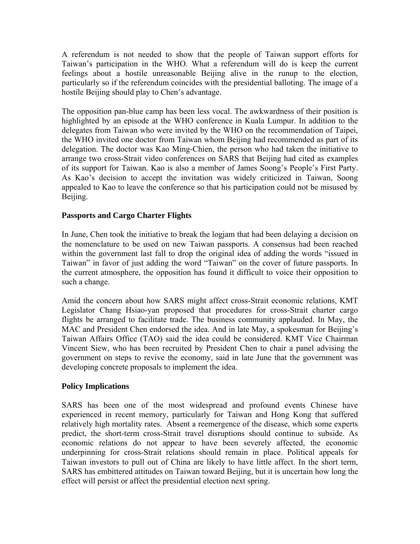A referendum is not needed to show that the people of Taiwan support efforts for Taiwan's participation in the WHO. What a referendum will do is keep the current feelings about a hostile unreasonable Beijing alive in the runup to the election, particularly so if the referendum coincides with the presidential balloting. The image of a hostile Beijing should play to Chen's advantage.

The opposition pan-blue camp has been less vocal. The awkwardness of their position is highlighted by an episode at the WHO conference in Kuala Lumpur. In addition to the delegates from Taiwan who were invited by the WHO on the recommendation of Taipei, the WHO invited one doctor from Taiwan whom Beijing had recommended as part of its delegation. The doctor was Kao Ming-Chien, the person who had taken the initiative to arrange two cross-Strait video conferences on SARS that Beijing had cited as examples of its support for Taiwan. Kao is also a member of James Soong's People's First Party. As Kao's decision to accept the invitation was widely criticized in Taiwan, Soong appealed to Kao to leave the conference so that his participation could not be misused by Beijing.

## **Passports and Cargo Charter Flights**

In June, Chen took the initiative to break the logjam that had been delaying a decision on the nomenclature to be used on new Taiwan passports. A consensus had been reached within the government last fall to drop the original idea of adding the words "issued in Taiwan" in favor of just adding the word "Taiwan" on the cover of future passports. In the current atmosphere, the opposition has found it difficult to voice their opposition to such a change.

Amid the concern about how SARS might affect cross-Strait economic relations, KMT Legislator Chang Hsiao-yan proposed that procedures for cross-Strait charter cargo flights be arranged to facilitate trade. The business community applauded. In May, the MAC and President Chen endorsed the idea. And in late May, a spokesman for Beijing's Taiwan Affairs Office (TAO) said the idea could be considered. KMT Vice Chairman Vincent Siew, who has been recruited by President Chen to chair a panel advising the government on steps to revive the economy, said in late June that the government was developing concrete proposals to implement the idea.

#### **Policy Implications**

SARS has been one of the most widespread and profound events Chinese have experienced in recent memory, particularly for Taiwan and Hong Kong that suffered relatively high mortality rates. Absent a reemergence of the disease, which some experts predict, the short-term cross-Strait travel disruptions should continue to subside. As economic relations do not appear to have been severely affected, the economic underpinning for cross-Strait relations should remain in place. Political appeals for Taiwan investors to pull out of China are likely to have little affect. In the short term, SARS has embittered attitudes on Taiwan toward Beijing, but it is uncertain how long the effect will persist or affect the presidential election next spring.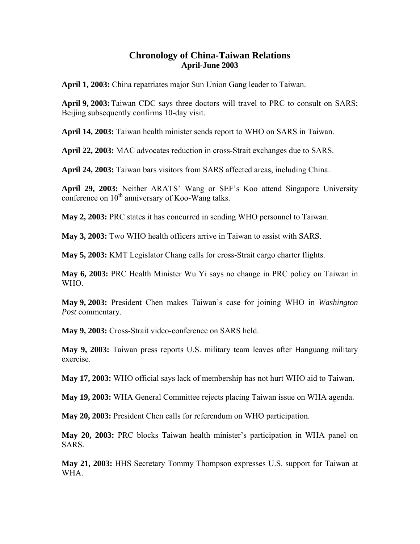# **Chronology of China-Taiwan Relations April-June 2003**

**April 1, 2003:** China repatriates major Sun Union Gang leader to Taiwan.

**April 9, 2003:** Taiwan CDC says three doctors will travel to PRC to consult on SARS; Beijing subsequently confirms 10-day visit.

**April 14, 2003:** Taiwan health minister sends report to WHO on SARS in Taiwan.

**April 22, 2003:** MAC advocates reduction in cross-Strait exchanges due to SARS.

**April 24, 2003:** Taiwan bars visitors from SARS affected areas, including China.

**April 29, 2003:** Neither ARATS' Wang or SEF's Koo attend Singapore University conference on  $10^{th}$  anniversary of Koo-Wang talks.

**May 2, 2003:** PRC states it has concurred in sending WHO personnel to Taiwan.

**May 3, 2003:** Two WHO health officers arrive in Taiwan to assist with SARS.

**May 5, 2003:** KMT Legislator Chang calls for cross-Strait cargo charter flights.

**May 6, 2003:** PRC Health Minister Wu Yi says no change in PRC policy on Taiwan in WHO.

**May 9, 2003:** President Chen makes Taiwan's case for joining WHO in *Washington Post* commentary.

**May 9, 2003:** Cross-Strait video-conference on SARS held.

**May 9, 2003:** Taiwan press reports U.S. military team leaves after Hanguang military exercise.

**May 17, 2003:** WHO official says lack of membership has not hurt WHO aid to Taiwan.

**May 19, 2003:** WHA General Committee rejects placing Taiwan issue on WHA agenda.

**May 20, 2003:** President Chen calls for referendum on WHO participation.

**May 20, 2003:** PRC blocks Taiwan health minister's participation in WHA panel on SARS.

**May 21, 2003:** HHS Secretary Tommy Thompson expresses U.S. support for Taiwan at WHA.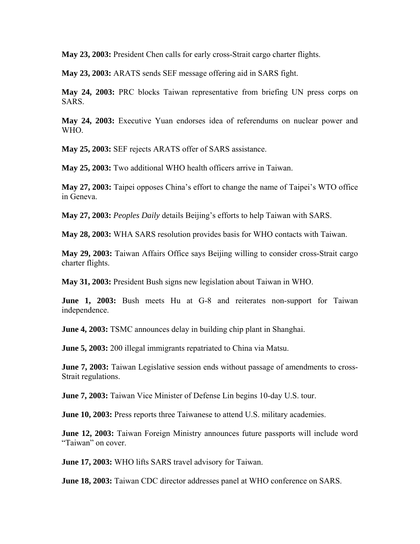**May 23, 2003:** President Chen calls for early cross-Strait cargo charter flights.

**May 23, 2003:** ARATS sends SEF message offering aid in SARS fight.

**May 24, 2003:** PRC blocks Taiwan representative from briefing UN press corps on SARS.

**May 24, 2003:** Executive Yuan endorses idea of referendums on nuclear power and WHO.

**May 25, 2003:** SEF rejects ARATS offer of SARS assistance.

**May 25, 2003:** Two additional WHO health officers arrive in Taiwan.

**May 27, 2003:** Taipei opposes China's effort to change the name of Taipei's WTO office in Geneva.

**May 27, 2003:** *Peoples Daily* details Beijing's efforts to help Taiwan with SARS.

**May 28, 2003:** WHA SARS resolution provides basis for WHO contacts with Taiwan.

**May 29, 2003:** Taiwan Affairs Office says Beijing willing to consider cross-Strait cargo charter flights.

**May 31, 2003:** President Bush signs new legislation about Taiwan in WHO.

**June 1, 2003:** Bush meets Hu at G-8 and reiterates non-support for Taiwan independence.

**June 4, 2003:** TSMC announces delay in building chip plant in Shanghai.

**June 5, 2003:** 200 illegal immigrants repatriated to China via Matsu.

**June 7, 2003:** Taiwan Legislative session ends without passage of amendments to cross-Strait regulations.

**June 7, 2003:** Taiwan Vice Minister of Defense Lin begins 10-day U.S. tour.

**June 10, 2003:** Press reports three Taiwanese to attend U.S. military academies.

**June 12, 2003:** Taiwan Foreign Ministry announces future passports will include word "Taiwan" on cover.

**June 17, 2003:** WHO lifts SARS travel advisory for Taiwan.

**June 18, 2003:** Taiwan CDC director addresses panel at WHO conference on SARS.